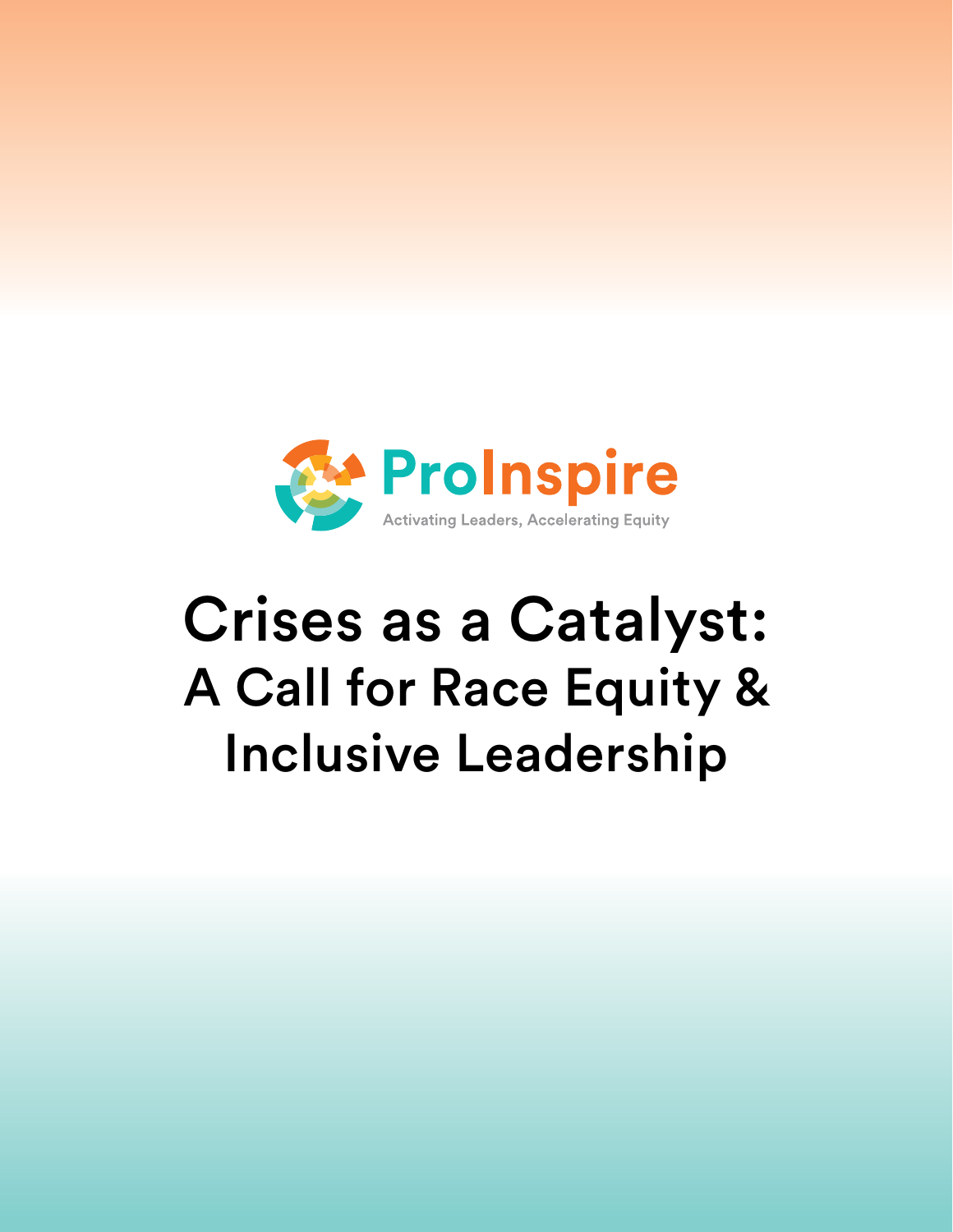

# Crises as a Catalyst: A Call for Race Equity & Inclusive Leadership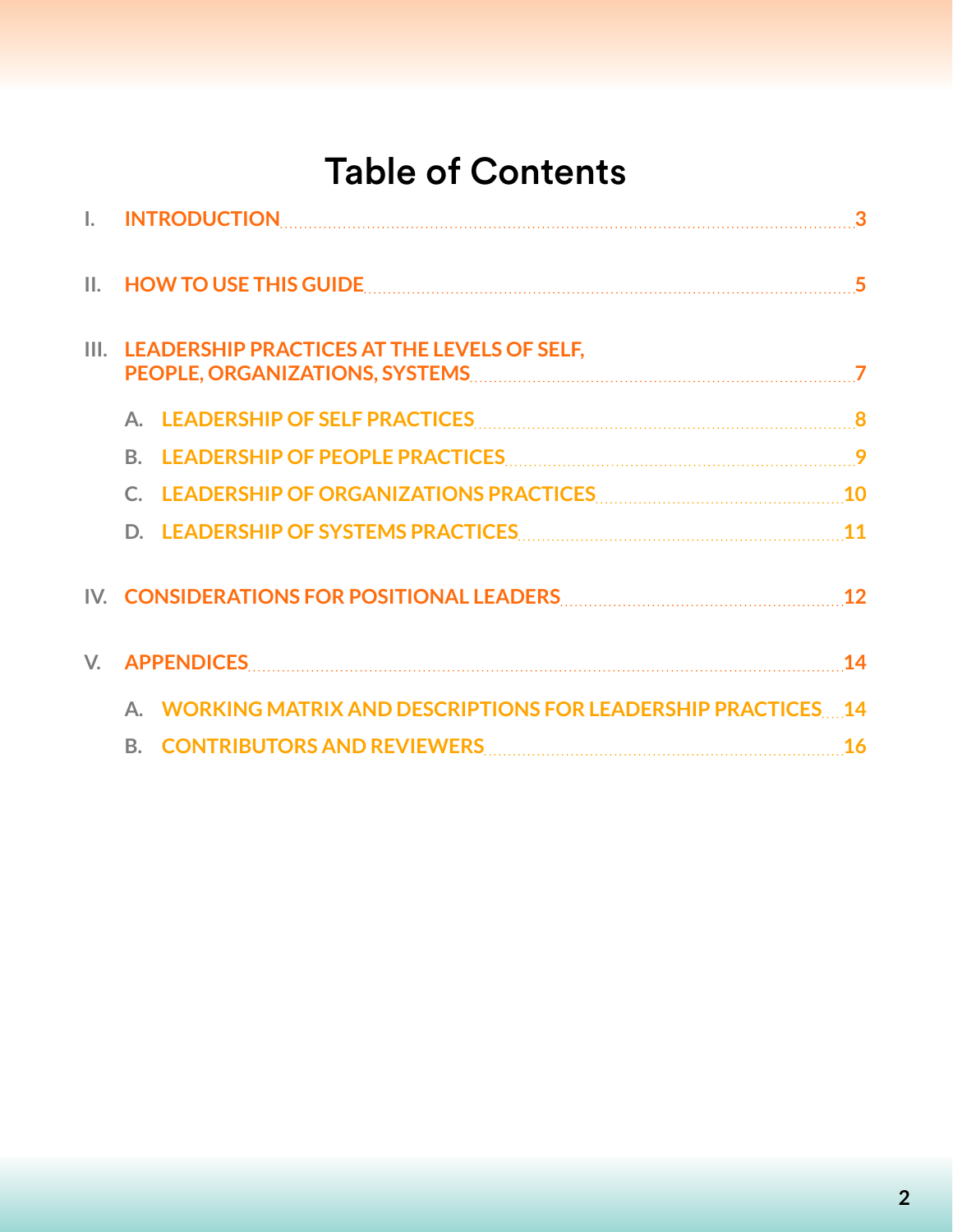## Table of Contents

| Ш. | HOW TO USE THIS GUIDE <b>Entity of the COVID-</b> 15 September 2014 15 September 2014 15 September 2014 15 September 2014                                                                                                      |           |
|----|--------------------------------------------------------------------------------------------------------------------------------------------------------------------------------------------------------------------------------|-----------|
|    | LEADERSHIP PRACTICES AT THE LEVELS OF SELF,                                                                                                                                                                                    |           |
|    | A. LEADERSHIP OF SELF PRACTICES MARKET AND THE RESIDENCE AND RELATIONS AND RELATIONS AND RELATIONS AND RELATIONS AND RELATIONS AND RELATIONS AND RELATIONS AND RELATIONS AND RELATIONS AND RELATIONS AND RELATIONS AND RELATIO |           |
|    | B.                                                                                                                                                                                                                             |           |
|    | LEADERSHIP OF ORGANIZATIONS PRACTICES [10] [10] 10                                                                                                                                                                             |           |
|    |                                                                                                                                                                                                                                |           |
|    | IV. CONSIDERATIONS FOR POSITIONAL LEADERS CONTINUES AND THE RESERVE TO A RESERVE THE RESERVE TO A RESERVE THE                                                                                                                  | <b>12</b> |
|    |                                                                                                                                                                                                                                | 14        |
|    | A. WORKING MATRIX AND DESCRIPTIONS FOR LEADERSHIP PRACTICES 14                                                                                                                                                                 |           |
|    |                                                                                                                                                                                                                                |           |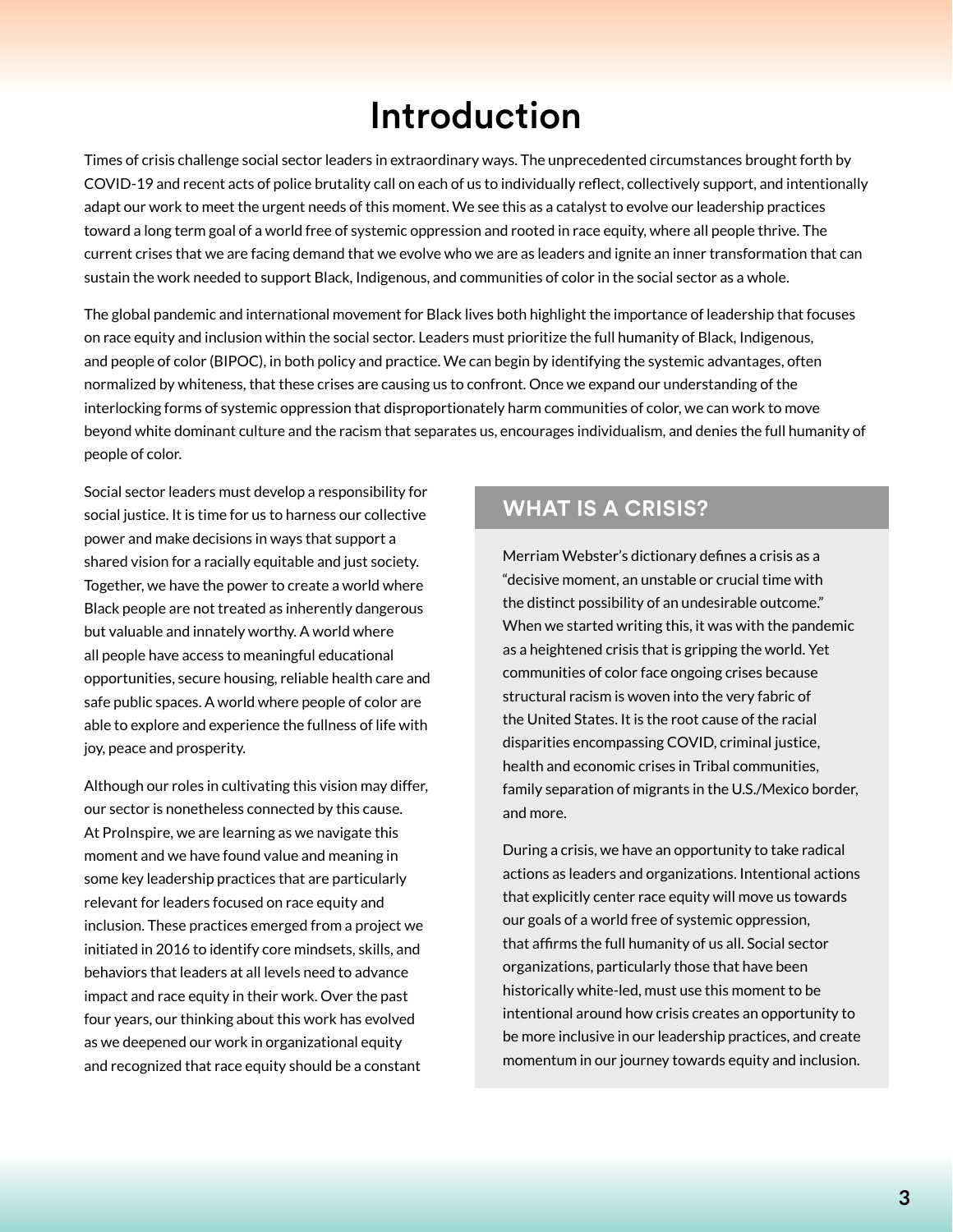## Introduction

<span id="page-2-0"></span>Times of crisis challenge social sector leaders in extraordinary ways. The unprecedented circumstances brought forth by COVID-19 and recent acts of police brutality call on each of us to individually reflect, collectively support, and intentionally adapt our work to meet the urgent needs of this moment. We see this as a catalyst to evolve our leadership practices toward a long term goal of a world free of systemic oppression and rooted in race equity, where all people thrive. The current crises that we are facing demand that we evolve who we are as leaders and ignite an inner transformation that can sustain the work needed to support Black, Indigenous, and communities of color in the social sector as a whole.

The global pandemic and international movement for Black lives both highlight the importance of leadership that focuses on race equity and inclusion within the social sector. Leaders must prioritize the full humanity of Black, Indigenous, and people of color (BIPOC), in both policy and practice. We can begin by identifying the systemic advantages, often normalized by whiteness, that these crises are causing us to confront. Once we expand our understanding of the interlocking forms of systemic oppression that disproportionately harm communities of color, we can work to move beyond white dominant culture and the racism that separates us, encourages individualism, and denies the full humanity of people of color.

Social sector leaders must develop a responsibility for social justice. It is time for us to harness our collective power and make decisions in ways that support a shared vision for a racially equitable and just society. Together, we have the power to create a world where Black people are not treated as inherently dangerous but valuable and innately worthy. A world where all people have access to meaningful educational opportunities, secure housing, reliable health care and safe public spaces. A world where people of color are able to explore and experience the fullness of life with joy, peace and prosperity.

Although our roles in cultivating this vision may differ, our sector is nonetheless connected by this cause. At ProInspire, we are learning as we navigate this moment and we have found value and meaning in some key leadership practices that are particularly relevant for leaders focused on race equity and inclusion. These practices emerged from a project we initiated in 2016 to identify core mindsets, skills, and behaviors that leaders at all levels need to advance impact and race equity in their work. Over the past four years, our thinking about this work has evolved as we deepened our work in organizational equity and recognized that race equity should be a constant

#### **WHAT IS A CRISIS?**

Merriam Webster's dictionary defines a crisis as a "decisive moment, an unstable or crucial time with the distinct possibility of an undesirable outcome." When we started writing this, it was with the pandemic as a heightened crisis that is gripping the world. Yet communities of color face ongoing crises because structural racism is woven into the very fabric of the United States. It is the root cause of the racial disparities encompassing COVID, criminal justice, health and economic crises in Tribal communities, family separation of migrants in the U.S./Mexico border, and more.

During a crisis, we have an opportunity to take radical actions as leaders and organizations. Intentional actions that explicitly center race equity will move us towards our goals of a world free of systemic oppression, that affirms the full humanity of us all. Social sector organizations, particularly those that have been historically white-led, must use this moment to be intentional around how crisis creates an opportunity to be more inclusive in our leadership practices, and create momentum in our journey towards equity and inclusion.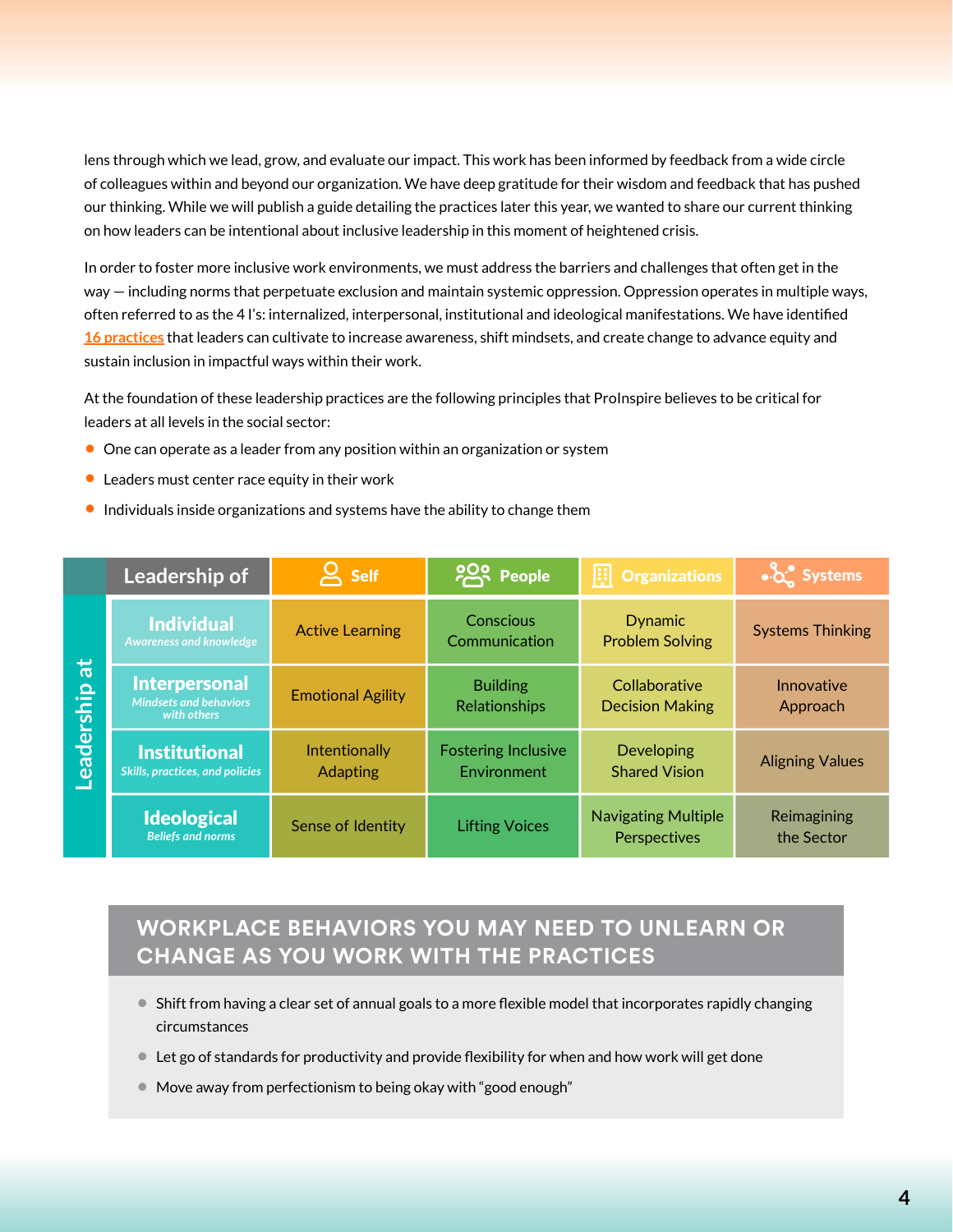lens through which we lead, grow, and evaluate our impact. This work has been informed by feedback from a wide circle of colleagues within and beyond our organization. We have deep gratitude for their wisdom and feedback that has pushed our thinking. While we will publish a guide detailing the practices later this year, we wanted to share our current thinking on how leaders can be intentional about inclusive leadership in this moment of heightened crisis.

In order to foster more inclusive work environments, we must address the barriers and challenges that often get in the way — including norms that perpetuate exclusion and maintain systemic oppression. Oppression operates in multiple ways, often referred to as the 4 I's: internalized, interpersonal, institutional and ideological manifestations. We have identified **[16 practices](https://www.proinspire.org/from-competencies-to-practices-for-inclusion-and-impact/)** that leaders can cultivate to increase awareness, shift mindsets, and create change to advance equity and sustain inclusion in impactful ways within their work.

At the foundation of these leadership practices are the following principles that ProInspire believes to be critical for leaders at all levels in the social sector:

- **•** One can operate as a leader from any position within an organization or system
- **•** Leaders must center race equity in their work
- **•** Individuals inside organizations and systems have the ability to change them

|                              | Leadership of                                                        | <b>Self</b>                             | <b>POS People</b>                         | 圓<br><b>Organizations</b>                  | $\frac{1}{2}$ Systems     |
|------------------------------|----------------------------------------------------------------------|-----------------------------------------|-------------------------------------------|--------------------------------------------|---------------------------|
| $\overline{a}$<br>Leadership | <b>Individual</b><br><b>Awareness and knowledge</b>                  | <b>Active Learning</b>                  | Conscious<br>Communication                | <b>Dynamic</b><br><b>Problem Solving</b>   | <b>Systems Thinking</b>   |
|                              | <b>Interpersonal</b><br><b>Mindsets and behaviors</b><br>with others | <b>Emotional Agility</b>                | <b>Building</b><br>Relationships          | Collaborative<br><b>Decision Making</b>    | Innovative<br>Approach    |
|                              | <b>Institutional</b><br><b>Skills, practices, and policies</b>       | <b>Intentionally</b><br><b>Adapting</b> | <b>Fostering Inclusive</b><br>Environment | <b>Developing</b><br><b>Shared Vision</b>  | <b>Aligning Values</b>    |
|                              | <b>Ideological</b><br><b>Beliefs and norms</b>                       | Sense of Identity                       | <b>Lifting Voices</b>                     | <b>Navigating Multiple</b><br>Perspectives | Reimagining<br>the Sector |

### **WORKPLACE BEHAVIORS YOU MAY NEED TO UNLEARN OR CHANGE AS YOU WORK WITH THE PRACTICES**

- **•** Shift from having a clear set of annual goals to a more flexible model that incorporates rapidly changing circumstances
- **•** Let go of standards for productivity and provide flexibility for when and how work will get done
- **•** Move away from perfectionism to being okay with "good enough"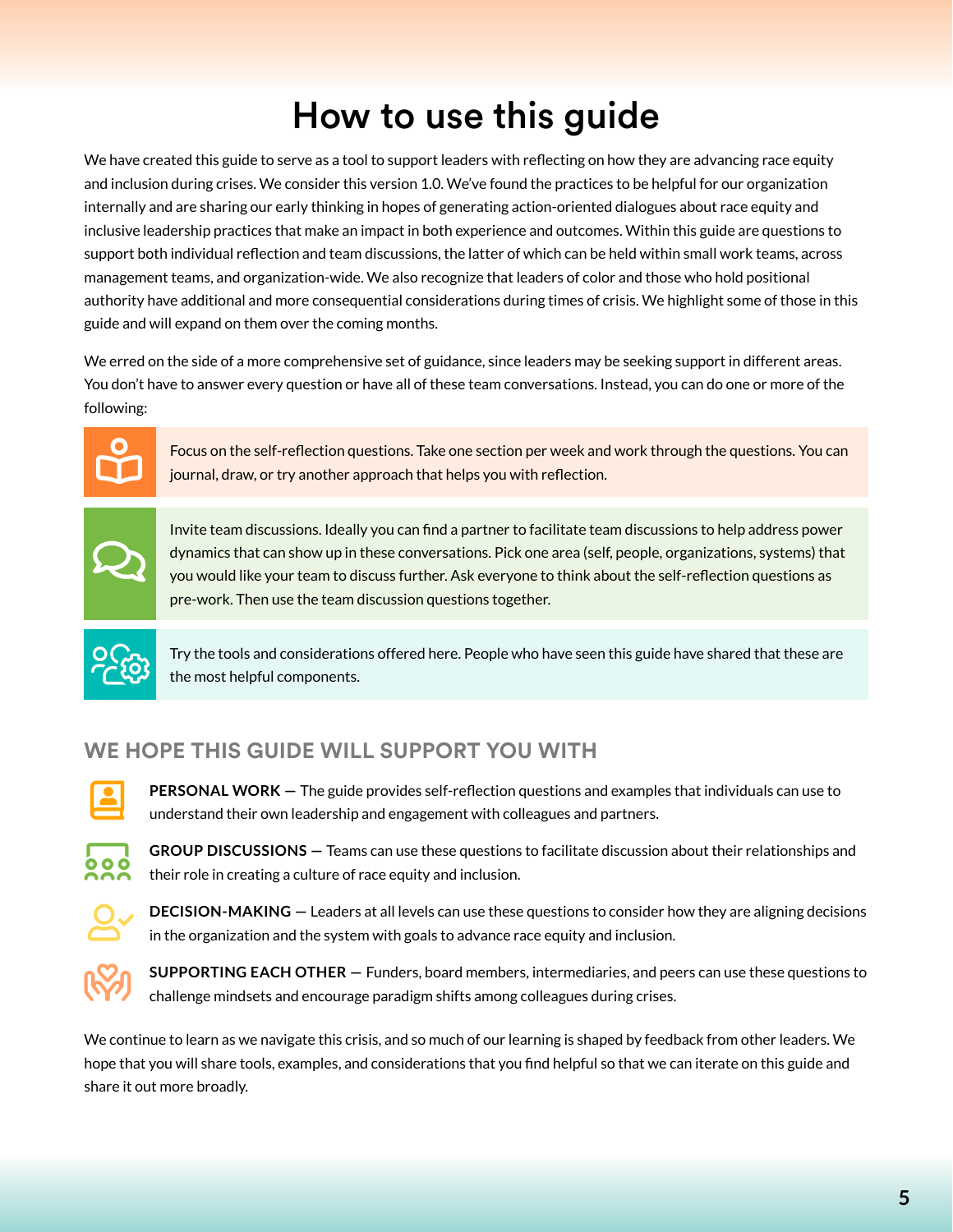## How to use this guide

<span id="page-4-0"></span>We have created this guide to serve as a tool to support leaders with reflecting on how they are advancing race equity and inclusion during crises. We consider this version 1.0. We've found the practices to be helpful for our organization internally and are sharing our early thinking in hopes of generating action-oriented dialogues about race equity and inclusive leadership practices that make an impact in both experience and outcomes. Within this guide are questions to support both individual reflection and team discussions, the latter of which can be held within small work teams, across management teams, and organization-wide. We also recognize that leaders of color and those who hold positional authority have additional and more consequential considerations during times of crisis. We highlight some of those in this guide and will expand on them over the coming months.

We erred on the side of a more comprehensive set of guidance, since leaders may be seeking support in different areas. You don't have to answer every question or have all of these team conversations. Instead, you can do one or more of the following:



Focus on the self-reflection questions. Take one section per week and work through the questions. You can journal, draw, or try another approach that helps you with reflection.



Invite team discussions. Ideally you can find a partner to facilitate team discussions to help address power dynamics that can show up in these conversations. Pick one area (self, people, organizations, systems) that you would like your team to discuss further. Ask everyone to think about the self-reflection questions as pre-work. Then use the team discussion questions together.



Try the tools and considerations offered here. People who have seen this guide have shared that these are<br>the most helpful components.

### **WE HOPE THIS GUIDE WILL SUPPORT YOU WITH**



**PERSONAL WORK —** The guide provides self-reflection questions and examples that individuals can use to understand their own leadership and engagement with colleagues and partners.



**GROUP DISCUSSIONS —** Teams can use these questions to facilitate discussion about their relationships and their role in creating a culture of race equity and inclusion.



**DECISION-MAKING —** Leaders at all levels can use these questions to consider how they are aligning decisions in the organization and the system with goals to advance race equity and inclusion.



**SUPPORTING EACH OTHER —** Funders, board members, intermediaries, and peers can use these questions to challenge mindsets and encourage paradigm shifts among colleagues during crises.

We continue to learn as we navigate this crisis, and so much of our learning is shaped by feedback from other leaders. We hope that you will share tools, examples, and considerations that you find helpful so that we can iterate on this guide and share it out more broadly.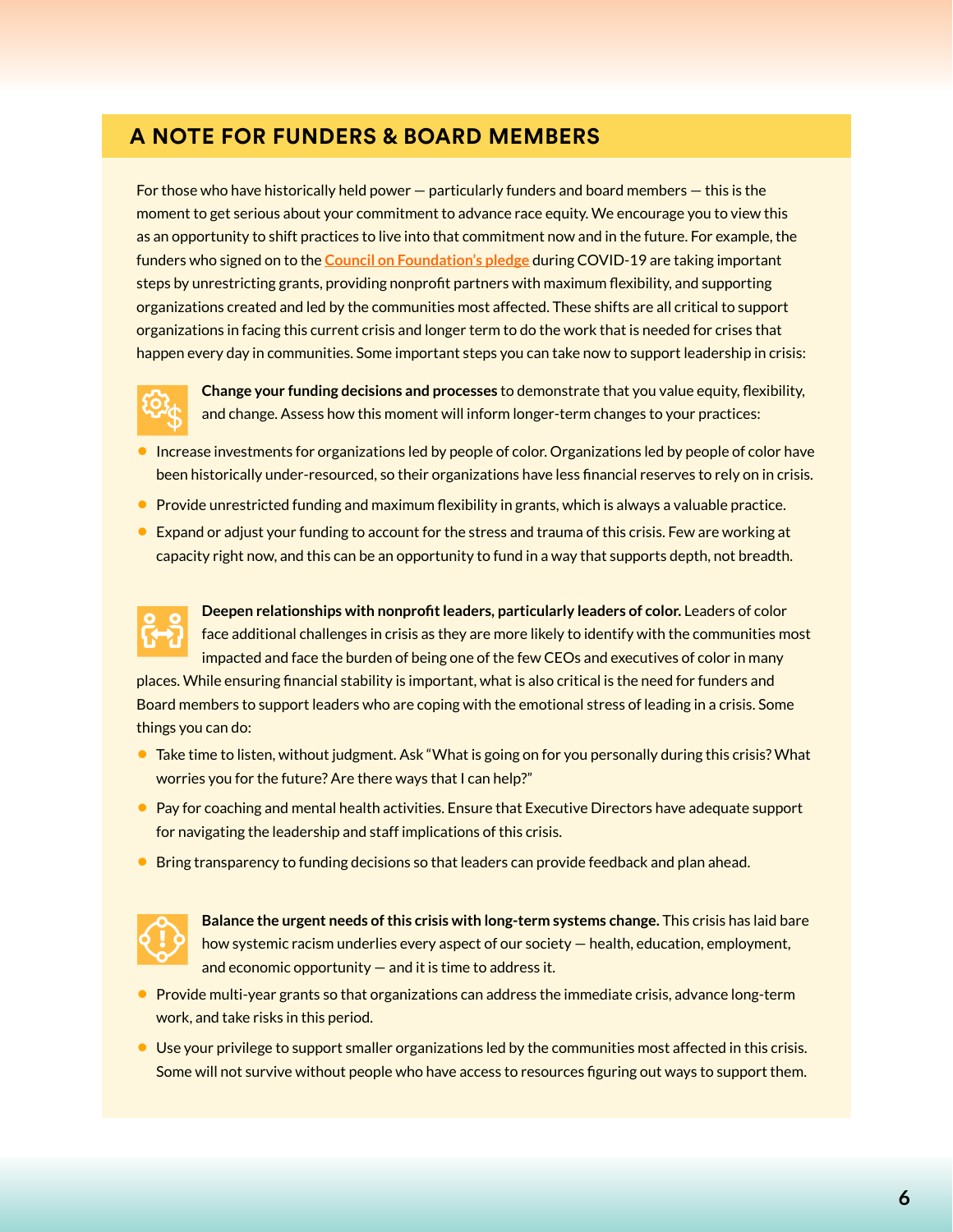#### **A NOTE FOR FUNDERS & BOARD MEMBERS**

For those who have historically held power — particularly funders and board members — this is the moment to get serious about your commitment to advance race equity. We encourage you to view this as an opportunity to shift practices to live into that commitment now and in the future. For example, the funders who signed on to the **[Council on Foundation's pledge](https://www.cof.org/news/call-action-philanthropys-commitment-during-covid-19)** during COVID-19 are taking important steps by unrestricting grants, providing nonprofit partners with maximum flexibility, and supporting organizations created and led by the communities most affected. These shifts are all critical to support organizations in facing this current crisis and longer term to do the work that is needed for crises that happen every day in communities. Some important steps you can take now to support leadership in crisis:



**Change your funding decisions and processes** to demonstrate that you value equity, flexibility, and change. Assess how this moment will inform longer-term changes to your practices:

- **•** Increase investments for organizations led by people of color. Organizations led by people of color have been historically under-resourced, so their organizations have less financial reserves to rely on in crisis.
- **•** Provide unrestricted funding and maximum flexibility in grants, which is always a valuable practice.
- **•** Expand or adjust your funding to account for the stress and trauma of this crisis. Few are working at capacity right now, and this can be an opportunity to fund in a way that supports depth, not breadth.



**Deepen relationships with nonprofit leaders, particularly leaders of color.** Leaders of color face additional challenges in crisis as they are more likely to identify with the communities most impacted and face the burden of being one of the few CEOs and executives of color in many

places. While ensuring financial stability is important, what is also critical is the need for funders and Board members to support leaders who are coping with the emotional stress of leading in a crisis. Some things you can do:

- **•** Take time to listen, without judgment. Ask "What is going on for you personally during this crisis? What worries you for the future? Are there ways that I can help?"
- **•** Pay for coaching and mental health activities. Ensure that Executive Directors have adequate support for navigating the leadership and staff implications of this crisis.
- **•** Bring transparency to funding decisions so that leaders can provide feedback and plan ahead.



**Balance the urgent needs of this crisis with long-term systems change.** This crisis has laid bare how systemic racism underlies every aspect of our society — health, education, employment, and economic opportunity  $-$  and it is time to address it.

- **•** Provide multi-year grants so that organizations can address the immediate crisis, advance long-term work, and take risks in this period.
- **•** Use your privilege to support smaller organizations led by the communities most affected in this crisis. Some will not survive without people who have access to resources figuring out ways to support them.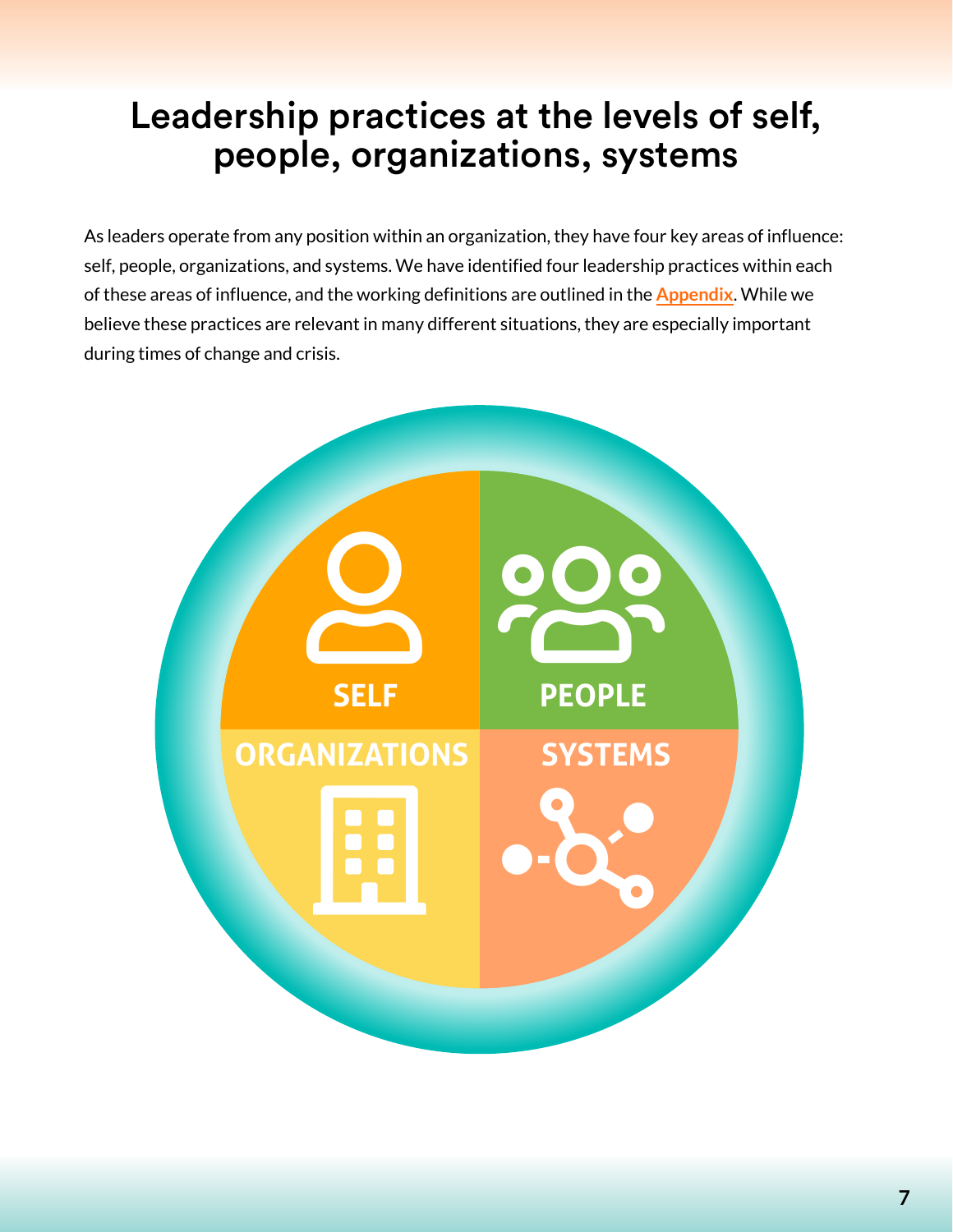## <span id="page-6-0"></span>Leadership practices at the levels of self, people, organizations, systems

As leaders operate from any position within an organization, they have four key areas of influence: self, people, organizations, and systems. We have identified four leadership practices within each of these areas of influence, and the working definitions are outlined in the **[Appendix](#page-13-0)**. While we believe these practices are relevant in many different situations, they are especially important during times of change and crisis.

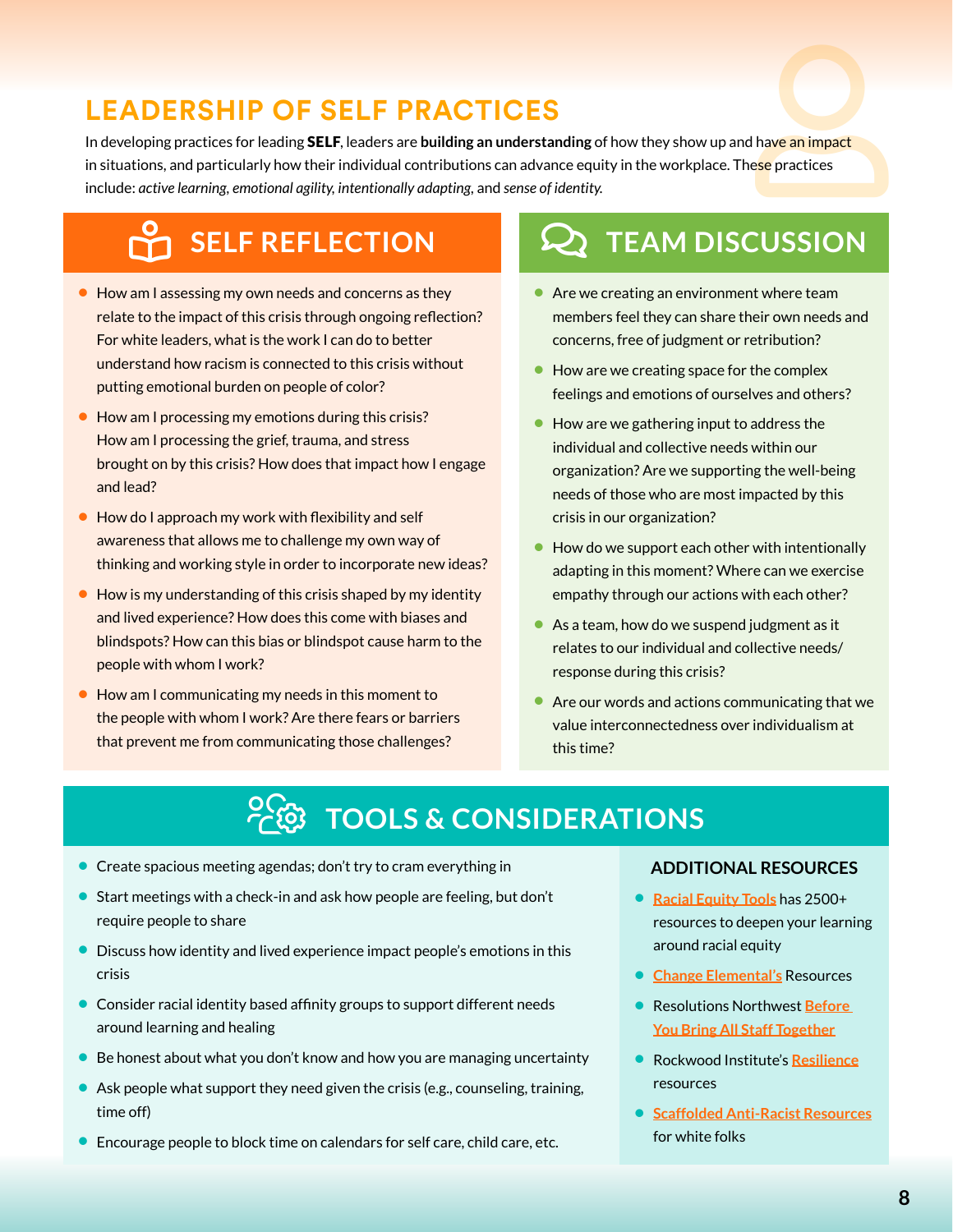### **LEADERSHIP OF SELF PRACTICES**

<span id="page-7-0"></span>In developing practices for leading SELF, leaders are **building an understanding** in situations, and particularly how their individual contributions can advance equity in the workplace. The<mark>se</mark> practices include: *active learning, emotional agility, intentionally adapting,*  and *sense of identity.*  of how they show up and have an impact<br>uity in the workplace. These practices<br>ty.

- **•** How am I assessing my own needs and concerns as they relate to the impact of this crisis through ongoing reflection? For white leaders, what is the work I can do to better understand how racism is connected to this crisis without putting emotional burden on people of color?
- **•** How am I processing my emotions during this crisis? How am I processing the grief, trauma, and stress brought on by this crisis? How does that impact how I engage and lead?
- **•** How do I approach my work with flexibility and self awareness that allows me to challenge my own way of thinking and working style in order to incorporate new ideas?
- **•** How is my understanding of this crisis shaped by my identity and lived experience? How does this come with biases and blindspots? How can this bias or blindspot cause harm to the people with whom I work?
- **•** How am I communicating my needs in this moment to the people with whom I work? Are there fears or barriers that prevent me from communicating those challenges?

## **book-reader in SELF REFLECTION** COMMENTS TEAM DISCUSSION

- **•** Are we creating an environment where team members feel they can share their own needs and concerns, free of judgment or retribution?
- How are we creating space for the complex feelings and emotions of ourselves and others?
- **•** How are we gathering input to address the individual and collective needs within our organization? Are we supporting the well-being needs of those who are most impacted by this crisis in our organization?
- **•** How do we support each other with intentionally adapting in this moment? Where can we exercise empathy through our actions with each other?
- **•** As a team, how do we suspend judgment as it relates to our individual and collective needs/ response during this crisis?
- **•** Are our words and actions communicating that we value interconnectedness over individualism at this time?

## **PEG TOOLS & CONSIDERATIONS**

- **•** Create spacious meeting agendas; don't try to cram everything in
- **•** Start meetings with a check-in and ask how people are feeling, but don't require people to share
- **•** Discuss how identity and lived experience impact people's emotions in this crisis
- **•** Consider racial identity based affinity groups to support different needs around learning and healing
- **•** Be honest about what you don't know and how you are managing uncertainty
- **•** Ask people what support they need given the crisis (e.g., counseling, training, time off)
- **•** Encourage people to block time on calendars for self care, child care, etc.

- **• [Racial Equity Tools](https://www.racialequitytools.org/home#)** has 2500+ resources to deepen your learning around racial equity
- **• [Change Elemental's](https://changeelemental.org/learn/)** Resources
- **•** Resolutions Northwest **[Before](https://drive.google.com/file/d/1EYY-0eiZruwGkRz2UvhImanJ091TpLKc/view?fbclid=IwAR00wQ88CqA7yRotJF46CUsDHLFz288Uq48xeEeNyRE8ylZ5dW9BUFbq7C0)  [You Bring All Staff Together](https://drive.google.com/file/d/1EYY-0eiZruwGkRz2UvhImanJ091TpLKc/view?fbclid=IwAR00wQ88CqA7yRotJF46CUsDHLFz288Uq48xeEeNyRE8ylZ5dW9BUFbq7C0)**
- **•** Rockwood Institute's **[Resilience](https://rockwoodleadership.org/category/blog/resilience/)** resources
- **• [Scaffolded Anti-Racist Resources](https://docs.google.com/document/u/2/d/1PrAq4iBNb4nVIcTsLcNlW8zjaQXBLkWayL8EaPlh0bc/mobilebasic)** for white folks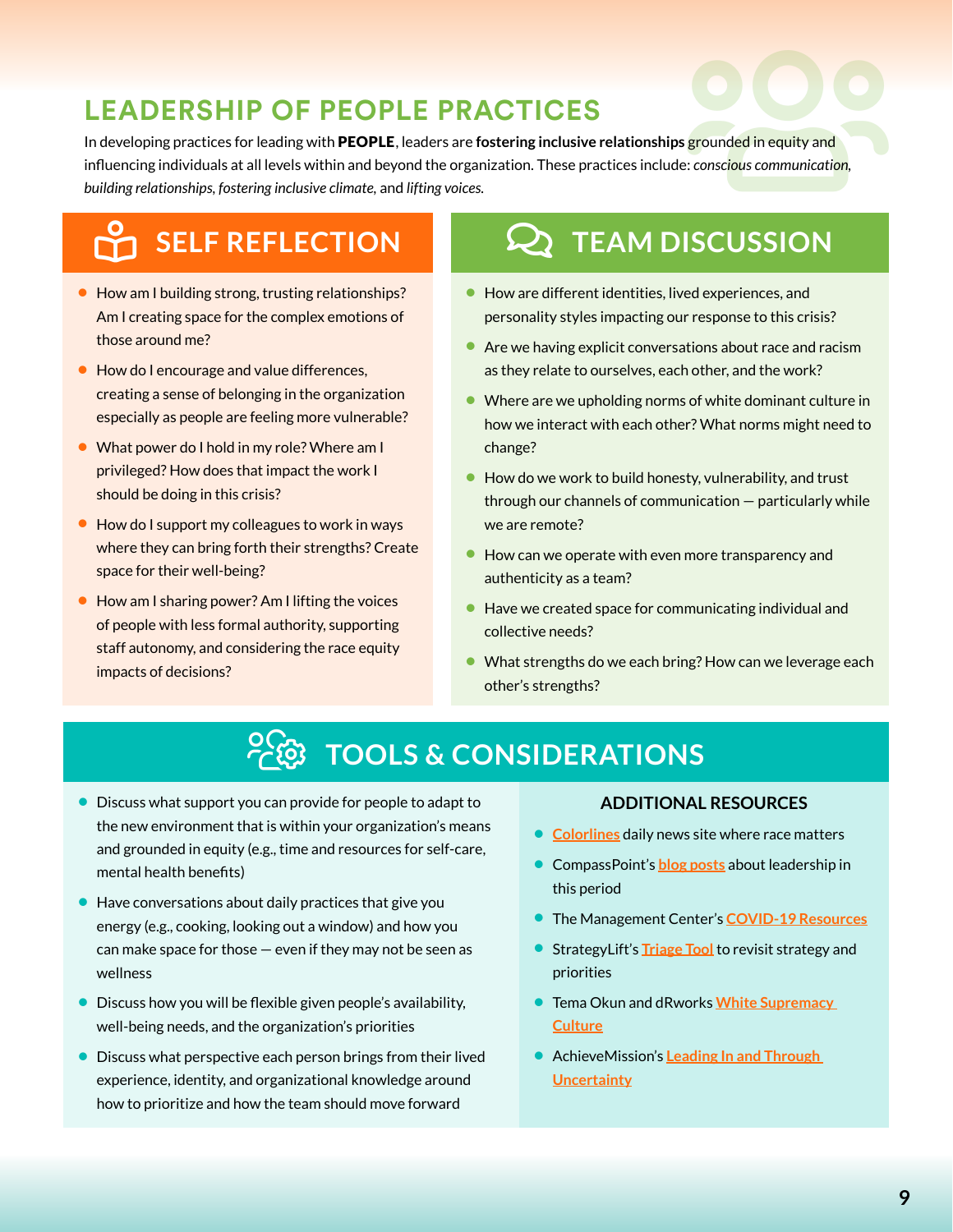### **LEADERSHIP OF PEOPLE PRACTICES**

<span id="page-8-0"></span>In developing practices for leading with PEOPLE, leaders are fostering inclusive relationships grounded in equity and influencing individuals at all levels within and beyond the organization. These practices include: conscious communication, **EOPLE PRACTICES**<br>PEOPLE, leaders are fostering inclusive relationships grounded in equity and<br>n and beyond the organization. These practices include: *conscious communication*,<br>li*mate*, and lifting voices. *building relationships, fostering inclusive climate,* and *lifting voices.* 

## **SELF REFLECTION**

- **•** How am I building strong, trusting relationships? Am I creating space for the complex emotions of those around me?
- **•** How do I encourage and value differences, creating a sense of belonging in the organization especially as people are feeling more vulnerable?
- **•** What power do I hold in my role? Where am I privileged? How does that impact the work I should be doing in this crisis?
- **•** How do I support my colleagues to work in ways where they can bring forth their strengths? Create space for their well-being?
- **•** How am I sharing power? Am I lifting the voices of people with less formal authority, supporting staff autonomy, and considering the race equity impacts of decisions?

## **Q TEAM DISCUSSION**

- **•** How are different identities, lived experiences, and personality styles impacting our response to this crisis?
- **•** Are we having explicit conversations about race and racism as they relate to ourselves, each other, and the work?
- **•** Where are we upholding norms of white dominant culture in how we interact with each other? What norms might need to change?
- **•** How do we work to build honesty, vulnerability, and trust through our channels of communication — particularly while we are remote?
- **•** How can we operate with even more transparency and authenticity as a team?
- **•** Have we created space for communicating individual and collective needs?
- **•** What strengths do we each bring? How can we leverage each other's strengths?

## USERS-COG **TOOLS & CONSIDERATIONS**

- **•** Discuss what support you can provide for people to adapt to the new environment that is within your organization's means and grounded in equity (e.g., time and resources for self-care, mental health benefits)
- **•** Have conversations about daily practices that give you energy (e.g., cooking, looking out a window) and how you can make space for those — even if they may not be seen as wellness
- **•** Discuss how you will be flexible given people's availability, well-being needs, and the organization's priorities
- **•** Discuss what perspective each person brings from their lived experience, identity, and organizational knowledge around how to prioritize and how the team should move forward

- **• [Colorlines](https://www.colorlines.com/)** daily news site where race matters
- **•** CompassPoint's **[blog posts](https://www.compasspoint.org/blog)** about leadership in this period
- **•** The Management Center's **[COVID-19 Resources](http://www.managementcenter.org/tools/covid-19/)**
- **•** StrategyLift's **[Triage Tool](https://centerforcommunityinvestment.org/blog/reimagining-strategy-context-covid-19-crisis-triage-tool)** to revisit strategy and priorities
- **•** Tema Okun and dRworks **[White Supremacy](https://www.dismantlingracism.org/uploads/4/3/5/7/43579015/okun_-_white_sup_culture.pdf)  [Culture](https://www.dismantlingracism.org/uploads/4/3/5/7/43579015/okun_-_white_sup_culture.pdf)**
- **•** AchieveMission's **[Leading In and Through](https://www.dropbox.com/s/ymvg7wke4mc15n1/Leading%20In%20and%20Through%20-%20post-session.pdf?dl=0)  [Uncertainty](https://www.dropbox.com/s/ymvg7wke4mc15n1/Leading%20In%20and%20Through%20-%20post-session.pdf?dl=0)**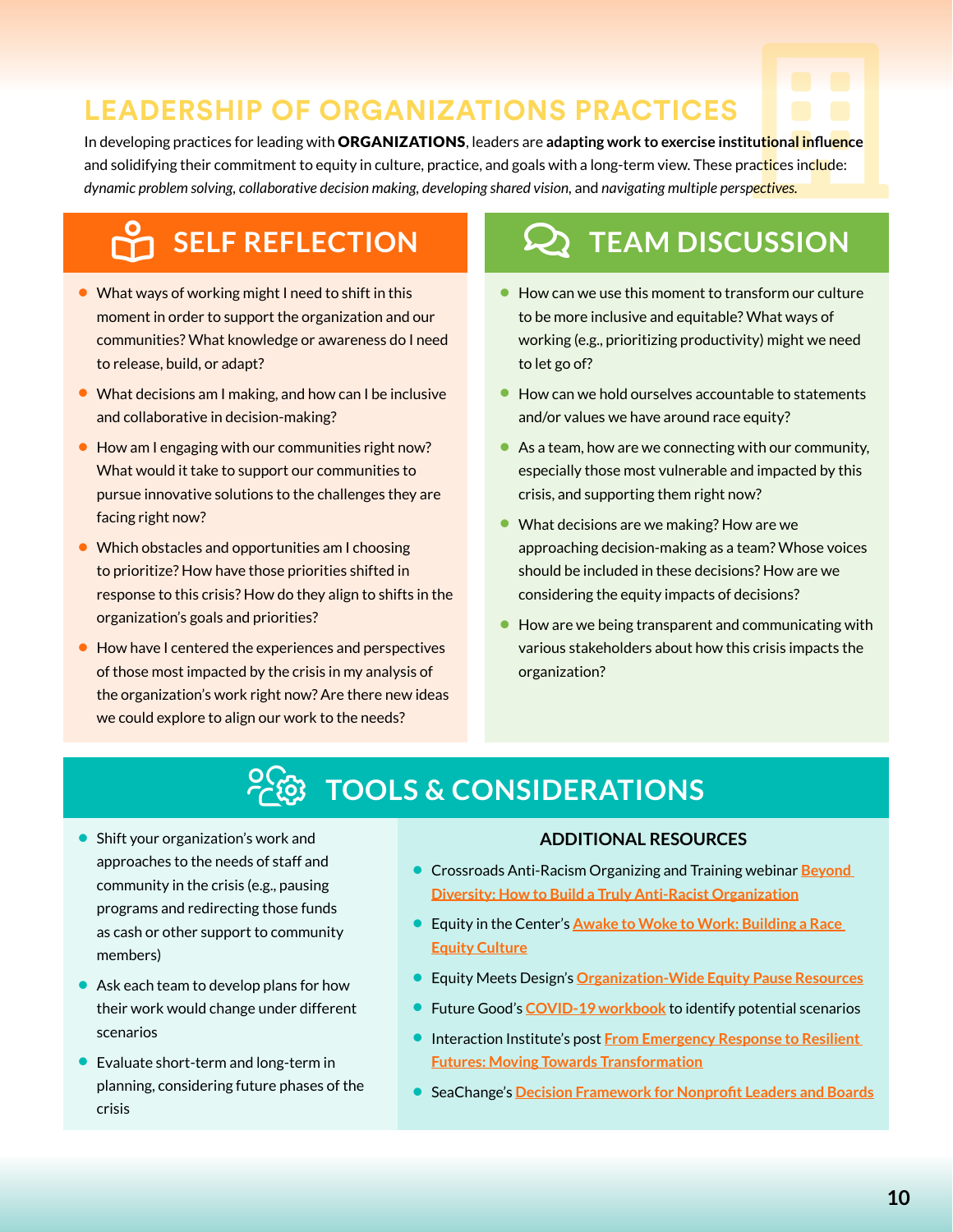### **LEADERSHIP OF ORGANIZATIONS PRACTICES**

<span id="page-9-0"></span>In developing practices for leading with ORGANIZATIONS, leaders are **adapting work to exercise institutional influence** and solidifying their commitment to equity in culture, practice, and goals with a long-term view. These practices include: dynamic problem solving, collaborative decision making, developing shared vision, and navigating multiple perspectives. **PRACTICES**<br>
building work to exercise institutional influence<br>
and navigating multiple perspectives.

## **BELF REFLECTION**

- **•** What ways of working might I need to shift in this moment in order to support the organization and our communities? What knowledge or awareness do I need to release, build, or adapt?
- **•** What decisions am I making, and how can I be inclusive and collaborative in decision-making?
- **•** How am I engaging with our communities right now? What would it take to support our communities to pursue innovative solutions to the challenges they are facing right now?
- **•** Which obstacles and opportunities am I choosing to prioritize? How have those priorities shifted in response to this crisis? How do they align to shifts in the organization's goals and priorities?
- **•** How have I centered the experiences and perspectives of those most impacted by the crisis in my analysis of the organization's work right now? Are there new ideas we could explore to align our work to the needs?

## **Q TEAM DISCUSSION**

- **•** How can we use this moment to transform our culture to be more inclusive and equitable? What ways of working (e.g., prioritizing productivity) might we need to let go of?
- **•** How can we hold ourselves accountable to statements and/or values we have around race equity?
- **•** As a team, how are we connecting with our community, especially those most vulnerable and impacted by this crisis, and supporting them right now?
- **•** What decisions are we making? How are we approaching decision-making as a team? Whose voices should be included in these decisions? How are we considering the equity impacts of decisions?
- **•** How are we being transparent and communicating with various stakeholders about how this crisis impacts the organization?

## USERS-COG **TOOLS & CONSIDERATIONS**

- **•** Shift your organization's work and approaches to the needs of staff and community in the crisis (e.g., pausing programs and redirecting those funds as cash or other support to community members)
- **•** Ask each team to develop plans for how their work would change under different scenarios
- **•** Evaluate short-term and long-term in planning, considering future phases of the crisis

- **•** Crossroads Anti-Racism Organizing and Training webinar **[Beyond](https://everydayfeminism.com/build-anti-racist-organization/)  [Diversity: How to Build a Truly Anti-Racist Organization](https://everydayfeminism.com/build-anti-racist-organization/)**
- **•** Equity in the Center's **[Awake to Woke to Work: Building a Race](https://www.equityinthecenter.org/wp-content/uploads/2019/04/Equity-in-Center-Awake-Woke-Work-2019-final-1.pdf)  [Equity Culture](https://www.equityinthecenter.org/wp-content/uploads/2019/04/Equity-in-Center-Awake-Woke-Work-2019-final-1.pdf)**
- **•** Equity Meets Design's **[Organization-Wide Equity Pause Resources](https://docs.google.com/document/d/1KUSFnyeHj6DoRB6cEHpbKybNBM4qNostoXeSCckm6Wo/edit#heading=h.bjl7migwtap1)**
- **•** Future Good's **[COVID-19 workbook](https://trista-harris.squarespace.com/new-voices-of-philanthropy/Tristaharrisorg/coronavirus-workbook)** to identify potential scenarios
- **•** Interaction Institute's post **[From Emergency Response to Resilient](http://interactioninstitute.org/from-emergency-response-to-resilient-futures-moving-towards-transformation/)  [Futures: Moving Towards Transformation](http://interactioninstitute.org/from-emergency-response-to-resilient-futures-moving-towards-transformation/)**
- **•** SeaChange's **[Decision Framework for Nonprofit Leaders and Boards](http://gd7xi2tioeh408c7o34706rc-wpengine.netdna-ssl.com/wp-content/uploads/2020/04/COVID-19-Nonprofit-Decision-Framework.pdf)**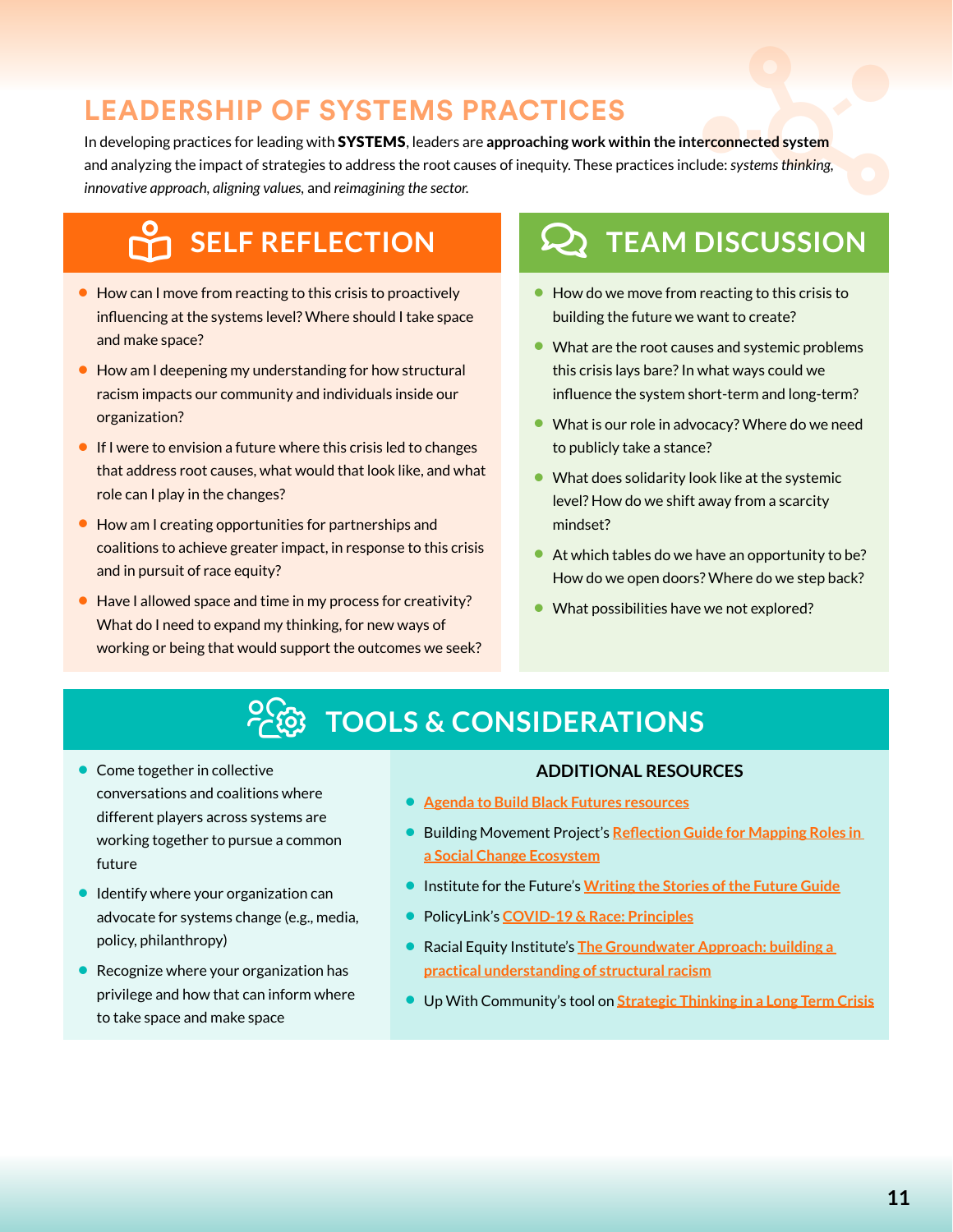### **LEADERSHIP OF SYSTEMS PRACTICES**

<span id="page-10-0"></span>In developing practices for leading with SYSTEMS, leaders are approaching work within the interconnected system and analyzing the impact of strategies to address the root causes of inequity. These practices include: systems thinking, **YSTEMS PRACTICES**<br>SYSTEMS, leaders are approaching work within the interconnected system<br>o address the root causes of inequity. These practices include: systems thinking,<br>reimagining the sector. *innovative approach, aligning values,* and *reimagining the sector.* 

## **SELF REFLECTION**

- **•** How can I move from reacting to this crisis to proactively influencing at the systems level? Where should I take space and make space?
- **•** How am I deepening my understanding for how structural racism impacts our community and individuals inside our organization?
- **•** If I were to envision a future where this crisis led to changes that address root causes, what would that look like, and what role can I play in the changes?
- **•** How am I creating opportunities for partnerships and coalitions to achieve greater impact, in response to this crisis and in pursuit of race equity?
- **•** Have I allowed space and time in my process for creativity? What do I need to expand my thinking, for new ways of working or being that would support the outcomes we seek?

## **Q TEAM DISCUSSION**

- **•** How do we move from reacting to this crisis to building the future we want to create?
- What are the root causes and systemic problems this crisis lays bare? In what ways could we influence the system short-term and long-term?
- **•** What is our role in advocacy? Where do we need to publicly take a stance?
- **•** What does solidarity look like at the systemic level? How do we shift away from a scarcity mindset?
- **•** At which tables do we have an opportunity to be? How do we open doors? Where do we step back?
- **•** What possibilities have we not explored?

## USERS-COG **TOOLS & CONSIDERATIONS**

- **•** Come together in collective conversations and coalitions where different players across systems are working together to pursue a common future
- **•** Identify where your organization can advocate for systems change (e.g., media, policy, philanthropy)
- **•** Recognize where your organization has privilege and how that can inform where to take space and make space

- **• [Agenda to Build Black Futures resources](https://www.agendatobuildblackfutures.com/shows)**
- **•** Building Movement Project's **[Reflection Guide for Mapping Roles in](https://buildingmovement.org/wp-content/uploads/2020/03/Reflection-Guide-for-Mapping-Roles-in-A-Social-Change-Ecosystem.pdf)  [a Social Change Ecosystem](https://buildingmovement.org/wp-content/uploads/2020/03/Reflection-Guide-for-Mapping-Roles-in-A-Social-Change-Ecosystem.pdf)**
- **•** Institute for the Future's **[Writing the Stories of the Future Guide](http://www.iftf.org/our-work/health-self/afterthepandemic/writing-the-stories-of-the-future/)**
- **•** PolicyLink's **[COVID-19 & Race: Principles](https://www.policylink.org/covid19-and-race/principles)**
- **•** Racial Equity Institute's **[The Groundwater Approach: building a](https://www.racialequityinstitute.com/groundwaterapproach)  [practical understanding of structural racism](https://www.racialequityinstitute.com/groundwaterapproach)**
- **•** Up With Community's tool on **[Strategic Thinking in a Long Term Crisis](https://docs.google.com/document/d/1OMaa9evxU13JrlbwKnZa6Tu12qerytTK_rmOIU5ciAk/edit#heading=h.7hmcc27y5mqx)**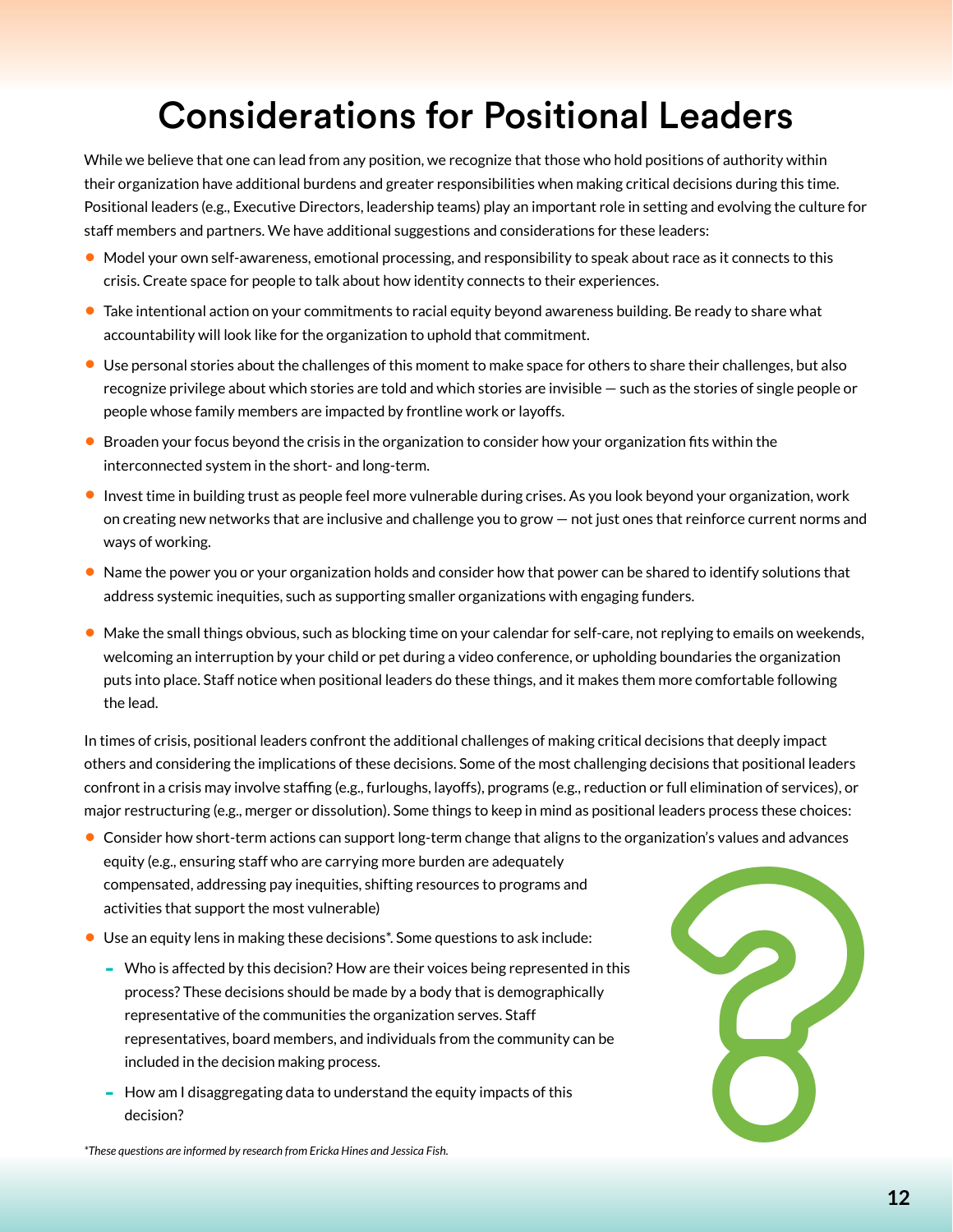## Considerations for Positional Leaders

<span id="page-11-0"></span>While we believe that one can lead from any position, we recognize that those who hold positions of authority within their organization have additional burdens and greater responsibilities when making critical decisions during this time. Positional leaders (e.g., Executive Directors, leadership teams) play an important role in setting and evolving the culture for staff members and partners. We have additional suggestions and considerations for these leaders:

- **•** Model your own self-awareness, emotional processing, and responsibility to speak about race as it connects to this crisis. Create space for people to talk about how identity connects to their experiences.
- **•** Take intentional action on your commitments to racial equity beyond awareness building. Be ready to share what accountability will look like for the organization to uphold that commitment.
- **•** Use personal stories about the challenges of this moment to make space for others to share their challenges, but also recognize privilege about which stories are told and which stories are invisible — such as the stories of single people or people whose family members are impacted by frontline work or layoffs.
- **•** Broaden your focus beyond the crisis in the organization to consider how your organization fits within the interconnected system in the short- and long-term.
- **•** Invest time in building trust as people feel more vulnerable during crises. As you look beyond your organization, work on creating new networks that are inclusive and challenge you to grow — not just ones that reinforce current norms and ways of working.
- **•** Name the power you or your organization holds and consider how that power can be shared to identify solutions that address systemic inequities, such as supporting smaller organizations with engaging funders.
- **•** Make the small things obvious, such as blocking time on your calendar for self-care, not replying to emails on weekends, welcoming an interruption by your child or pet during a video conference, or upholding boundaries the organization puts into place. Staff notice when positional leaders do these things, and it makes them more comfortable following the lead.

In times of crisis, positional leaders confront the additional challenges of making critical decisions that deeply impact others and considering the implications of these decisions. Some of the most challenging decisions that positional leaders confront in a crisis may involve staffing (e.g., furloughs, layoffs), programs (e.g., reduction or full elimination of services), or major restructuring (e.g., merger or dissolution). Some things to keep in mind as positional leaders process these choices:

- **•** Consider how short-term actions can support long-term change that aligns to the organization's values and advances equity (e.g., ensuring staff who are carrying more burden are adequately compensated, addressing pay inequities, shifting resources to programs and activities that support the most vulnerable)
- **•** Use an equity lens in making these decisions\*. Some questions to ask include:
	- **-** Who is affected by this decision? How are their voices being represented in this process? These decisions should be made by a body that is demographically representative of the communities the organization serves. Staff representatives, board members, and individuals from the community can be included in the decision making process.
	- **-** How am I disaggregating data to understand the equity impacts of this decision?



*\*These questions are informed by research from Ericka Hines and Jessica Fish.*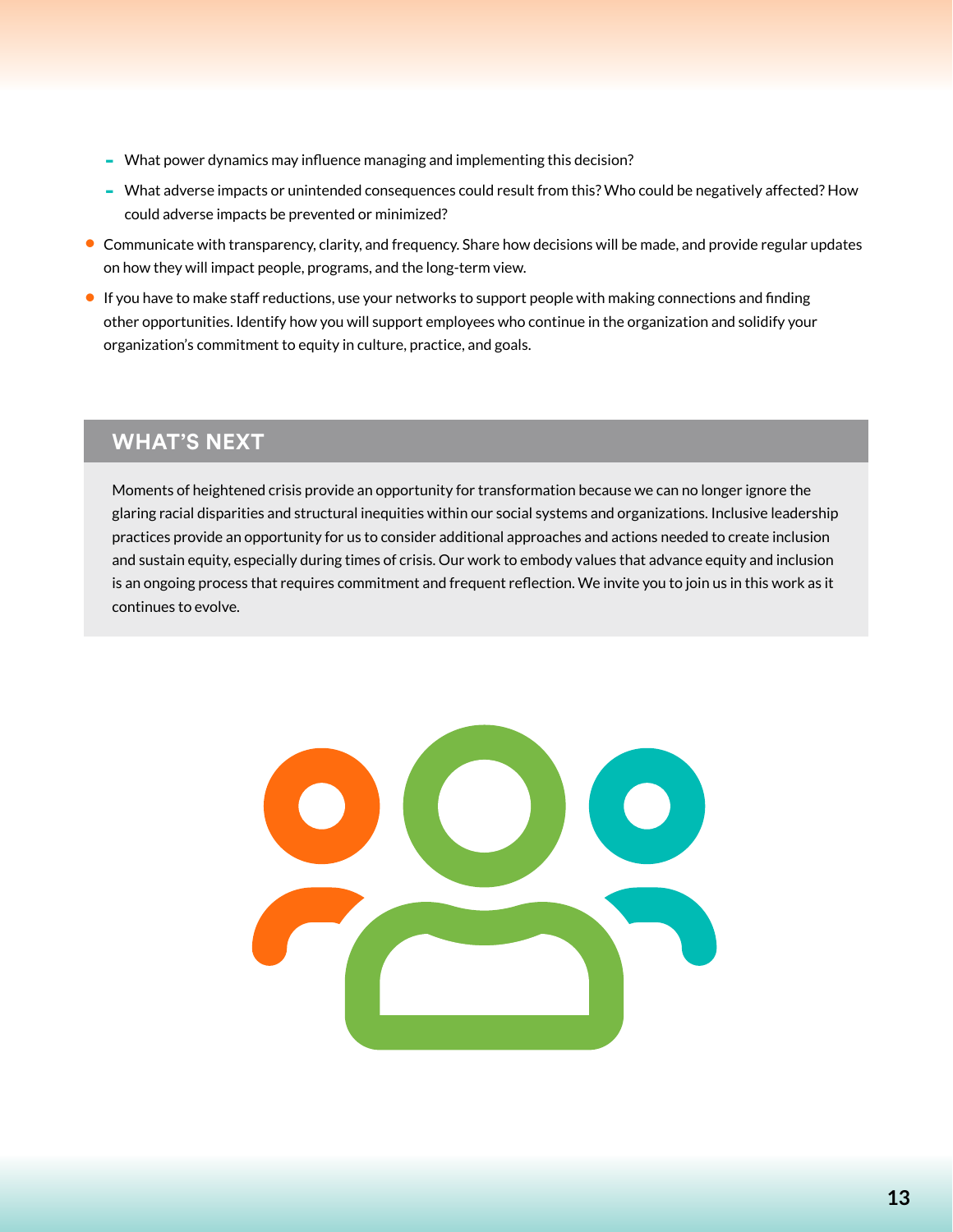- **-** What power dynamics may influence managing and implementing this decision?
- **-** What adverse impacts or unintended consequences could result from this? Who could be negatively affected? How could adverse impacts be prevented or minimized?
- **•** Communicate with transparency, clarity, and frequency. Share how decisions will be made, and provide regular updates on how they will impact people, programs, and the long-term view.
- **•** If you have to make staff reductions, use your networks to support people with making connections and finding other opportunities. Identify how you will support employees who continue in the organization and solidify your organization's commitment to equity in culture, practice, and goals.

#### **WHAT'S NEXT**

Moments of heightened crisis provide an opportunity for transformation because we can no longer ignore the glaring racial disparities and structural inequities within our social systems and organizations. Inclusive leadership practices provide an opportunity for us to consider additional approaches and actions needed to create inclusion and sustain equity, especially during times of crisis. Our work to embody values that advance equity and inclusion is an ongoing process that requires commitment and frequent reflection. We invite you to join us in this work as it continues to evolve.

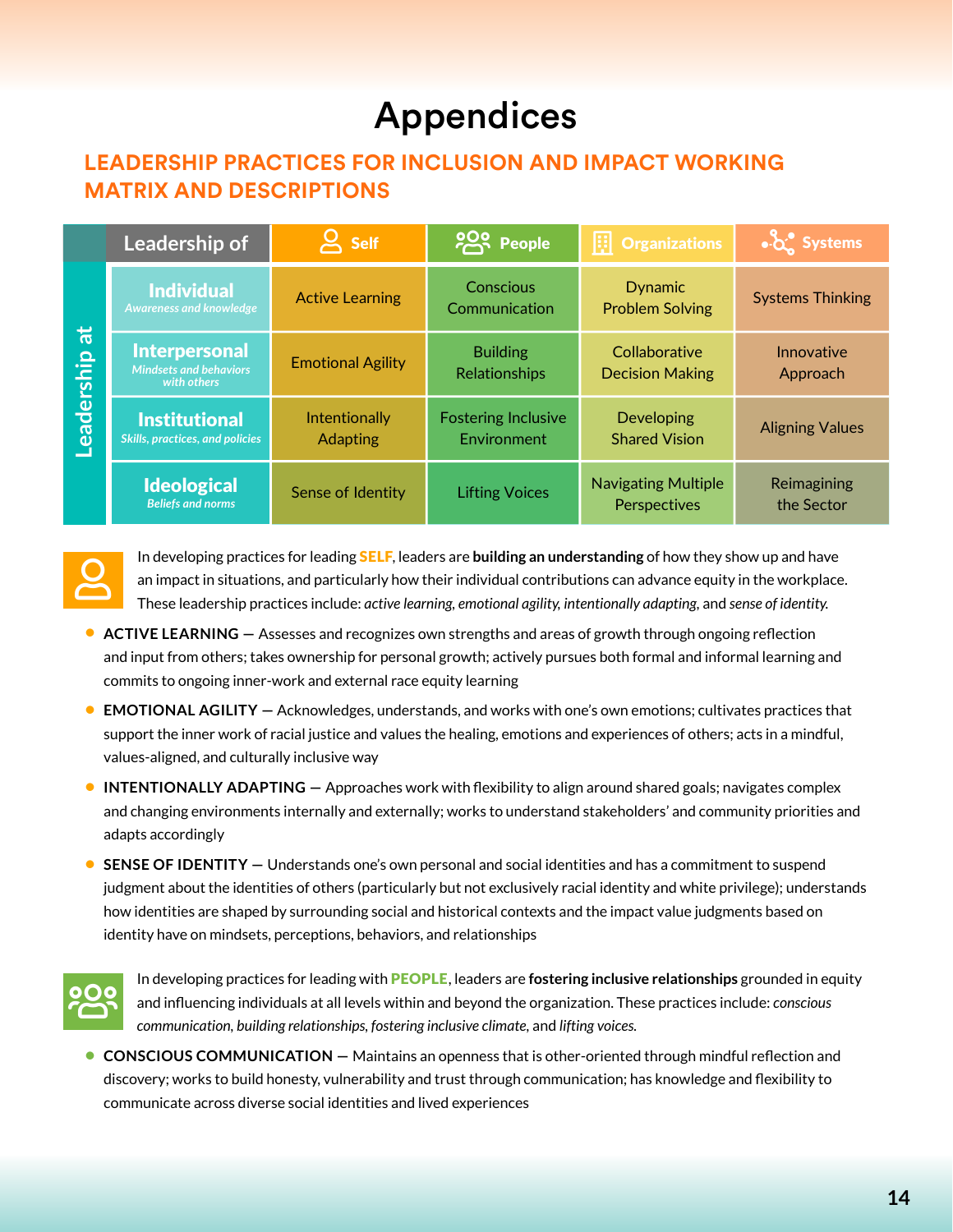## Appendices

### <span id="page-13-0"></span>**LEADERSHIP PRACTICES FOR INCLUSION AND IMPACT WORKING MATRIX AND DESCRIPTIONS**

|                         | Leadership of                                                        | <b>Self</b>                      | <b>POO People</b>                         | $\left  \frac{1}{x} \right $ Organizations | Systems                   |
|-------------------------|----------------------------------------------------------------------|----------------------------------|-------------------------------------------|--------------------------------------------|---------------------------|
| $\vec{a}$<br>Leadership | <b>Individual</b><br><b>Awareness and knowledge</b>                  | <b>Active Learning</b>           | Conscious<br>Communication                | <b>Dynamic</b><br><b>Problem Solving</b>   | <b>Systems Thinking</b>   |
|                         | <b>Interpersonal</b><br><b>Mindsets and behaviors</b><br>with others | <b>Emotional Agility</b>         | <b>Building</b><br>Relationships          | Collaborative<br><b>Decision Making</b>    | Innovative<br>Approach    |
|                         | <b>Institutional</b><br><b>Skills, practices, and policies</b>       | Intentionally<br><b>Adapting</b> | <b>Fostering Inclusive</b><br>Environment | Developing<br><b>Shared Vision</b>         | <b>Aligning Values</b>    |
|                         | <b>Ideological</b><br><b>Beliefs and norms</b>                       | Sense of Identity                | <b>Lifting Voices</b>                     | <b>Navigating Multiple</b><br>Perspectives | Reimagining<br>the Sector |



In developing practices for leading SELF, leaders are **building an understanding** of how they show up and have an impact in situations, and particularly how their individual contributions can advance equity in the workplace. These leadership practices include: *active learning, emotional agility, intentionally adapting,* and *sense of identity.*

- **•** ACTIVE LEARNING Assesses and recognizes own strengths and areas of growth through ongoing reflection and input from others; takes ownership for personal growth; actively pursues both formal and informal learning and commits to ongoing inner-work and external race equity learning
- **• EMOTIONAL AGILITY —** Acknowledges, understands, and works with one's own emotions; cultivates practices that support the inner work of racial justice and values the healing, emotions and experiences of others; acts in a mindful, values-aligned, and culturally inclusive way
- **• INTENTIONALLY ADAPTING** Approaches work with flexibility to align around shared goals; navigates complex and changing environments internally and externally; works to understand stakeholders' and community priorities and adapts accordingly
- **• SENSE OF IDENTITY** Understands one's own personal and social identities and has a commitment to suspend judgment about the identities of others (particularly but not exclusively racial identity and white privilege); understands how identities are shaped by surrounding social and historical contexts and the impact value judgments based on identity have on mindsets, perceptions, behaviors, and relationships



In developing practices for leading with PEOPLE, leaders are **fostering inclusive relationships** grounded in equity and influencing individuals at all levels within and beyond the organization. These practices include: *conscious communication, building relationships, fostering inclusive climate,* and *lifting voices.*

**• CONSCIOUS COMMUNICATION —** Maintains an openness that is other-oriented through mindful reflection and discovery; works to build honesty, vulnerability and trust through communication; has knowledge and flexibility to communicate across diverse social identities and lived experiences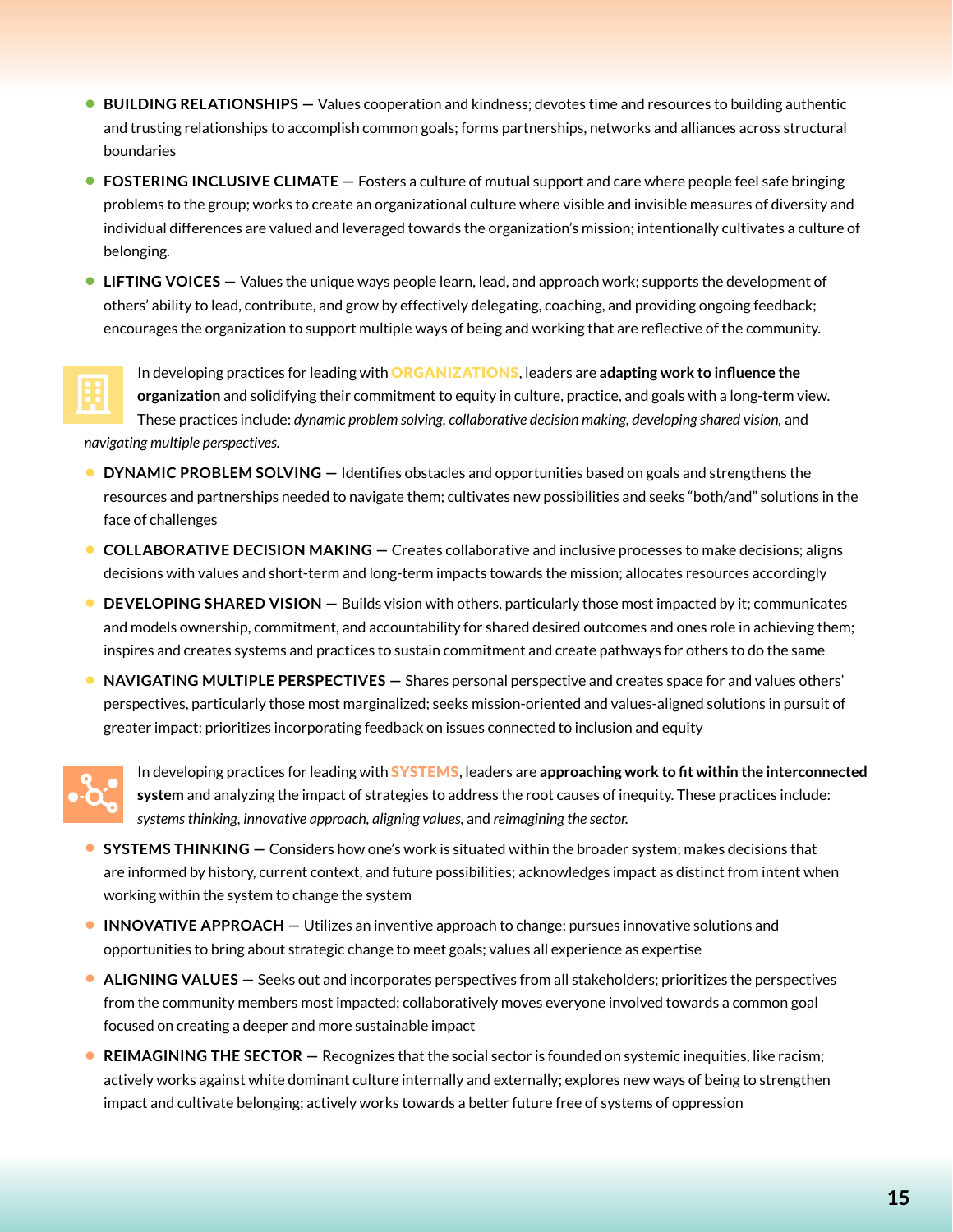- **• BUILDING RELATIONSHIPS** Values cooperation and kindness; devotes time and resources to building authentic and trusting relationships to accomplish common goals; forms partnerships, networks and alliances across structural boundaries
- **• FOSTERING INCLUSIVE CLIMATE** Fosters a culture of mutual support and care where people feel safe bringing problems to the group; works to create an organizational culture where visible and invisible measures of diversity and individual differences are valued and leveraged towards the organization's mission; intentionally cultivates a culture of belonging.
- **• LIFTING VOICES** Values the unique ways people learn, lead, and approach work; supports the development of others' ability to lead, contribute, and grow by effectively delegating, coaching, and providing ongoing feedback; encourages the organization to support multiple ways of being and working that are reflective of the community.



In developing practices for leading with ORGANIZATIONS, leaders are **adapting work to influence the organization** and solidifying their commitment to equity in culture, practice, and goals with a long-term view. These practices include: *dynamic problem solving, collaborative decision making, developing shared vision, and* 

*navigating multiple perspectives.* 

- **• DYNAMIC PROBLEM SOLVING** Identifies obstacles and opportunities based on goals and strengthens the resources and partnerships needed to navigate them; cultivates new possibilities and seeks "both/and" solutions in the face of challenges
- **• COLLABORATIVE DECISION MAKING** Creates collaborative and inclusive processes to make decisions; aligns decisions with values and short-term and long-term impacts towards the mission; allocates resources accordingly
- **• DEVELOPING SHARED VISION** Builds vision with others, particularly those most impacted by it; communicates and models ownership, commitment, and accountability for shared desired outcomes and ones role in achieving them; inspires and creates systems and practices to sustain commitment and create pathways for others to do the same
- **• NAVIGATING MULTIPLE PERSPECTIVES** Shares personal perspective and creates space for and values others' perspectives, particularly those most marginalized; seeks mission-oriented and values-aligned solutions in pursuit of greater impact; prioritizes incorporating feedback on issues connected to inclusion and equity



In developing practices for leading with SYSTEMS, leaders are **approaching work to fit within the interconnected system** and analyzing the impact of strategies to address the root causes of inequity. These practices include: *systems thinking, innovative approach, aligning values,* and *reimagining the sector.*

- **• SYSTEMS THINKING** Considers how one's work is situated within the broader system; makes decisions that are informed by history, current context, and future possibilities; acknowledges impact as distinct from intent when working within the system to change the system
- **• INNOVATIVE APPROACH** Utilizes an inventive approach to change; pursues innovative solutions and opportunities to bring about strategic change to meet goals; values all experience as expertise
- **• ALIGNING VALUES** Seeks out and incorporates perspectives from all stakeholders; prioritizes the perspectives from the community members most impacted; collaboratively moves everyone involved towards a common goal focused on creating a deeper and more sustainable impact
- **• REIMAGINING THE SECTOR** Recognizes that the social sector is founded on systemic inequities, like racism; actively works against white dominant culture internally and externally; explores new ways of being to strengthen impact and cultivate belonging; actively works towards a better future free of systems of oppression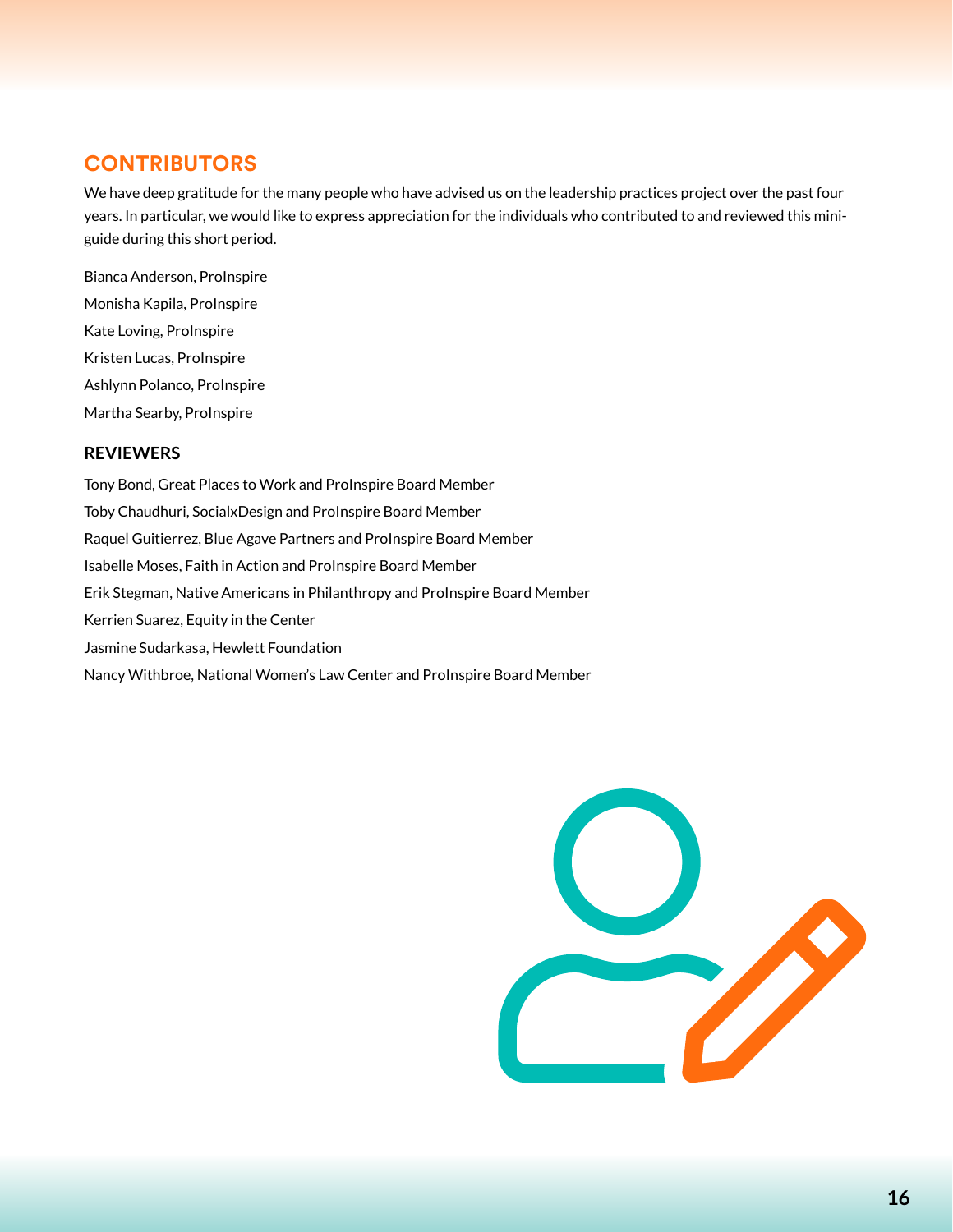#### <span id="page-15-0"></span>**CONTRIBUTORS**

We have deep gratitude for the many people who have advised us on the leadership practices project over the past four years. In particular, we would like to express appreciation for the individuals who contributed to and reviewed this miniguide during this short period.

Bianca Anderson, ProInspire Monisha Kapila, ProInspire Kate Loving, ProInspire Kristen Lucas, ProInspire Ashlynn Polanco, ProInspire Martha Searby, ProInspire

#### **REVIEWERS**

Tony Bond, Great Places to Work and ProInspire Board Member Toby Chaudhuri, SocialxDesign and ProInspire Board Member Raquel Guitierrez, Blue Agave Partners and ProInspire Board Member Isabelle Moses, Faith in Action and ProInspire Board Member Erik Stegman, Native Americans in Philanthropy and ProInspire Board Member Kerrien Suarez, Equity in the Center Jasmine Sudarkasa, Hewlett Foundation Nancy Withbroe, National Women's Law Center and ProInspire Board Member